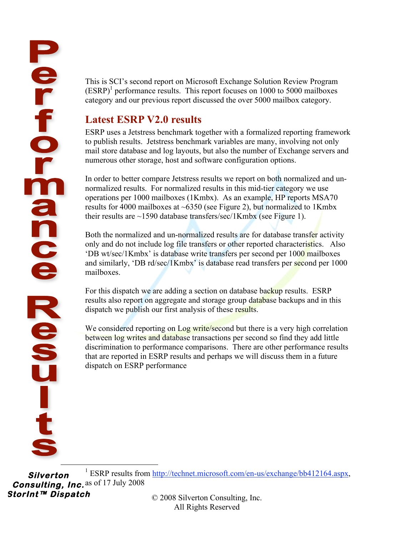This is SCI's second report on Microsoft Exchange Solution Review Program (ESRP) 1 performance results. This report focuses on 1000 to 5000 mailboxes category and our previous report discussed the over 5000 mailbox category.

# **Latest ESRP V2.0 results**

ESRP uses a Jetstress benchmark together with a formalized reporting framework to publish results. Jetstress benchmark variables are many, involving not only mail store database and log layouts, but also the number of Exchange servers and numerous other storage, host and software configuration options.

In order to better compare Jetstress results we report on both normalized and unnormalized results. For normalized results in this mid-tier category we use operations per 1000 mailboxes (1Kmbx). As an example, HP reports MSA70 results for 4000 mailboxes at  $\sim 6350$  (see Figure 2), but normalized to 1Kmbx their results are  $\sim$ 1590 database transfers/sec/1Kmbx (see Figure 1).

Both the normalized and un-normalized results are for database transfer activity only and do not include log file transfers or other reported characteristics. Also 'DB wt/sec/1Kmbx' is database write transfers per second per 1000 mailboxes and similarly, 'DB rd/sec/1Kmbx' is database read transfers per second per 1000 mailboxes.

For this dispatch we are adding a section on database backup results. ESRP results also report on aggregate and storage group database backups and in this dispatch we publish our first analysis of these results.

We considered reporting on Log write/second but there is a very high correlation between log writes and database transactions per second so find they add little discrimination to performance comparisons. There are other performance results that are reported in ESRP results and perhaps we will discuss them in a future dispatch on ESRP performance

**Silverton Consulting, Inc.**  as of 17 July 2008**StorInt™ Dispatch**  <u>1</u> <sup>1</sup> ESRP results from http://technet.microsoft.com/en-us/exchange/bb412164.aspx,

© 2008 Silverton Consulting, Inc. All Rights Reserved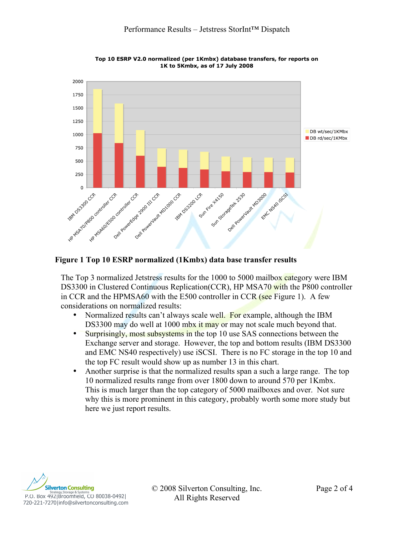

Top 10 ESRP V2.0 normalized (per 1Kmbx) database transfers, for reports on 1K to 5Kmbx, as of 17 July 2008

### **Figure 1 Top 10 ESRP normalized (1Kmbx) data base transfer results**

The Top 3 normalized Jetstress results for the 1000 to 5000 mailbox category were IBM DS3300 in Clustered Continuous Replication(CCR), HP MSA70 with the P800 controller in CCR and the HPMSA60 with the E500 controller in CCR (see Figure 1). A few considerations on normalized results:

- Normalized results can't always scale well. For example, although the IBM DS3300 may do well at 1000 mbx it may or may not scale much beyond that.
- Surprisingly, most subsystems in the top 10 use SAS connections between the Exchange server and storage. However, the top and bottom results (IBM DS3300 and EMC NS40 respectively) use iSCSI. There is no FC storage in the top 10 and the top FC result would show up as number 13 in this chart.
- Another surprise is that the normalized results span a such a large range. The top 10 normalized results range from over 1800 down to around 570 per 1Kmbx. This is much larger than the top category of 5000 mailboxes and over. Not sure why this is more prominent in this category, probably worth some more study but here we just report results.



© 2008 Silverton Consulting, Inc. Page 2 of 4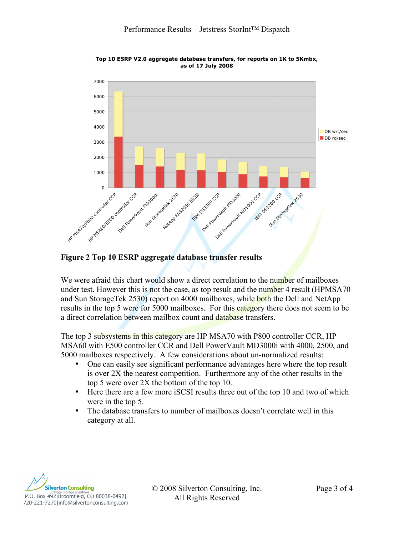

Top 10 ESRP V2.0 aggregate database transfers, for reports on 1K to 5Kmbx, as of 17 July 2008

### **Figure 2 Top 10 ESRP aggregate database transfer results**

We were afraid this chart would show a direct correlation to the number of mailboxes under test. However this is not the case, as top result and the number 4 result (HPMSA70 and Sun StorageTek 2530) report on 4000 mailboxes, while both the Dell and NetApp results in the top 5 were for 5000 mailboxes. For this category there does not seem to be a direct correlation between mailbox count and database transfers.

The top 3 subsystems in this category are HP MSA70 with P800 controller CCR, HP MSA60 with E500 controller CCR and Dell PowerVault MD3000i with 4000, 2500, and 5000 mailboxes respectively. A few considerations about un-normalized results:

- One can easily see significant performance advantages here where the top result is over 2X the nearest competition. Furthermore any of the other results in the top 5 were over 2X the bottom of the top 10.
- Here there are a few more iSCSI results three out of the top 10 and two of which were in the top 5.
- The database transfers to number of mailboxes doesn't correlate well in this category at all.



© 2008 Silverton Consulting, Inc. Page 3 of 4